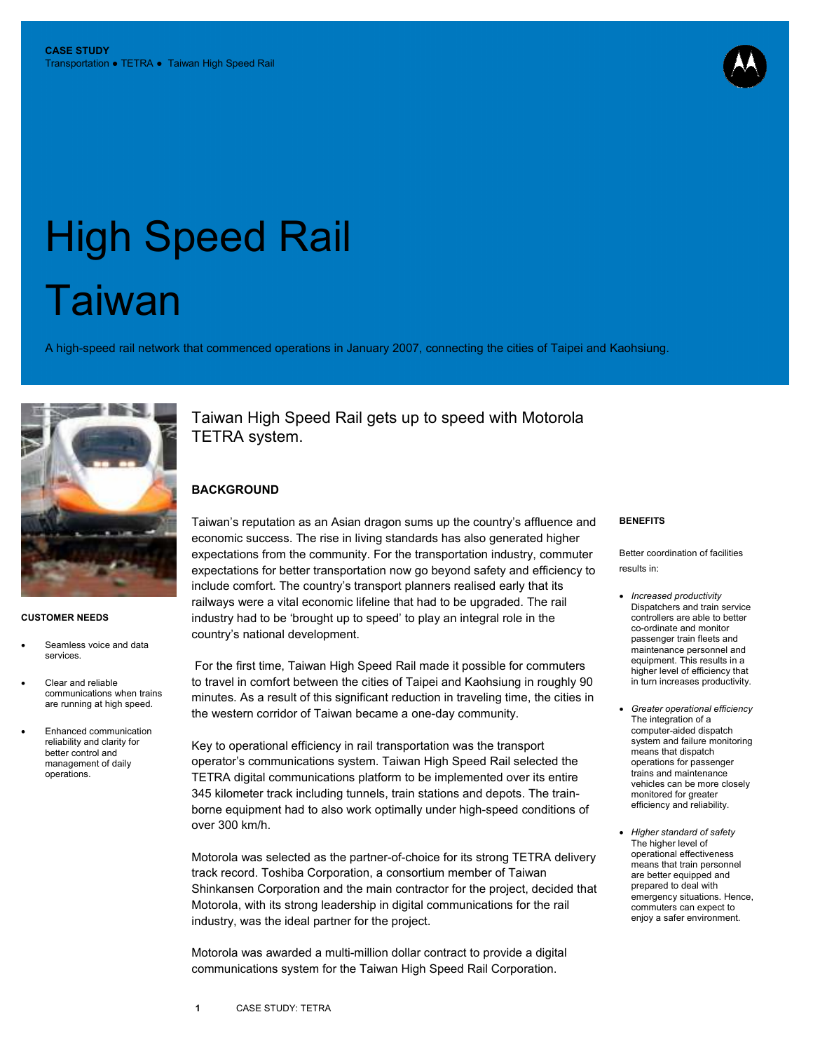# High Speed Rail **Taiwan**

A high-speed rail network that commenced operations in January 2007, connecting the cities of Taipei and Kaohsiung.



#### **CUSTOMER NEEDS**

- Seamless voice and data services.
- Clear and reliable communications when trains are running at high speed.
- Enhanced communication reliability and clarity for better control and management of daily operations.

Taiwan High Speed Rail gets up to speed with Motorola TETRA system.

### **BACKGROUND**

Taiwan's reputation as an Asian dragon sums up the country's affluence and economic success. The rise in living standards has also generated higher expectations from the community. For the transportation industry, commuter expectations for better transportation now go beyond safety and efficiency to include comfort. The country's transport planners realised early that its railways were a vital economic lifeline that had to be upgraded. The rail industry had to be 'brought up to speed' to play an integral role in the country's national development.

 For the first time, Taiwan High Speed Rail made it possible for commuters to travel in comfort between the cities of Taipei and Kaohsiung in roughly 90 minutes. As a result of this significant reduction in traveling time, the cities in the western corridor of Taiwan became a one-day community.

Key to operational efficiency in rail transportation was the transport operator's communications system. Taiwan High Speed Rail selected the TETRA digital communications platform to be implemented over its entire 345 kilometer track including tunnels, train stations and depots. The trainborne equipment had to also work optimally under high-speed conditions of over 300 km/h.

Motorola was selected as the partner-of-choice for its strong TETRA delivery track record. Toshiba Corporation, a consortium member of Taiwan Shinkansen Corporation and the main contractor for the project, decided that Motorola, with its strong leadership in digital communications for the rail industry, was the ideal partner for the project.

Motorola was awarded a multi-million dollar contract to provide a digital communications system for the Taiwan High Speed Rail Corporation.

#### **BENEFITS**

Better coordination of facilities results in:

- *Increased productivity* Dispatchers and train service controllers are able to better co-ordinate and monitor passenger train fleets and maintenance personnel and equipment. This results in a higher level of efficiency that in turn increases productivity.
- *Greater operational efficiency* The integration of a computer-aided dispatch system and failure monitoring means that dispatch operations for passenger trains and maintenance vehicles can be more closely monitored for greater efficiency and reliability.
- *Higher standard of safety* The higher level of operational effectiveness means that train personnel are better equipped and prepared to deal with emergency situations. Hence, commuters can expect to enjoy a safer environment.